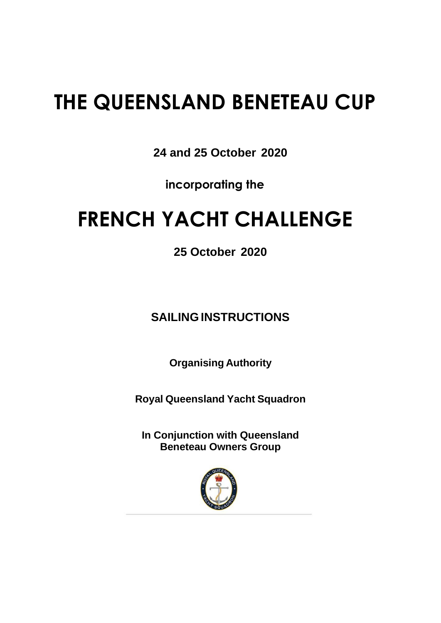## **THE QUEENSLAND BENETEAU CUP**

**24 and 25 October 2020**

**incorporating the**

## **FRENCH YACHT CHALLENGE**

**25 October 2020**

**SAILINGINSTRUCTIONS**

**Organising Authority**

**Royal Queensland Yacht Squadron**

**In Conjunction with Queensland Beneteau Owners Group**

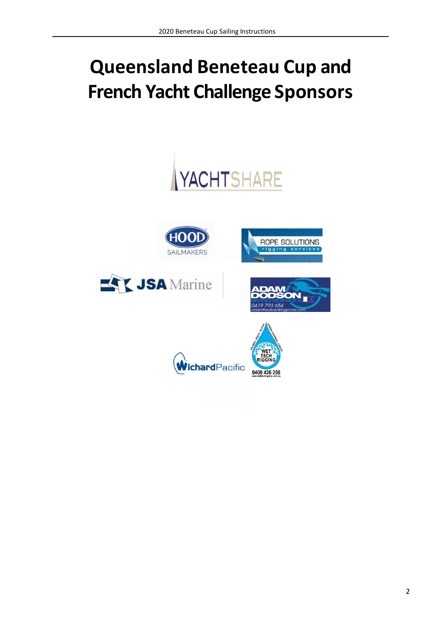# **Queensland Beneteau Cup and French Yacht Challenge Sponsors**



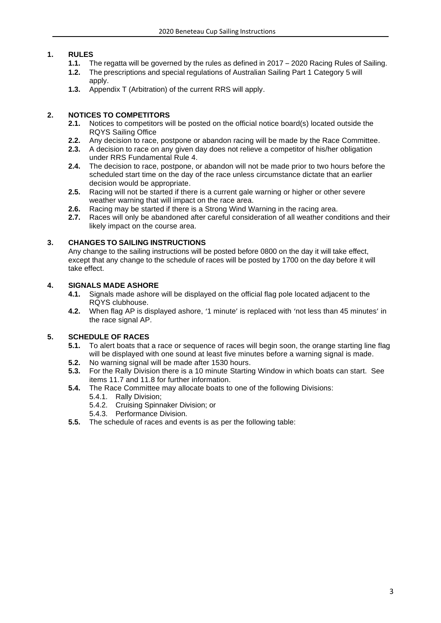#### **1. RULES**

- 
- 1.1. The regatta will be governed by the rules as defined in 2017 2020 Racing Rules of Sailing.<br>1.2. The prescriptions and special regulations of Australian Sailing Part 1 Category 5 will **1.2.** The prescriptions and special regulations of Australian Sailing Part 1 Category 5 will apply.
- **1.3.** Appendix T (Arbitration) of the current RRS will apply.

#### **2. NOTICES TO COMPETITORS**

- **2.1.** Notices to competitors will be posted on the official notice board(s) located outside the RQYS Sailing Office
- **2.2.** Any decision to race, postpone or abandon racing will be made by the Race Committee.
- **2.3.** A decision to race on any given day does not relieve a competitor of his/her obligation under RRS Fundamental Rule 4.
- **2.4.** The decision to race, postpone, or abandon will not be made prior to two hours before the scheduled start time on the day of the race unless circumstance dictate that an earlier decision would be appropriate.
- **2.5.** Racing will not be started if there is a current gale warning or higher or other severe weather warning that will impact on the race area.
- **2.6.** Racing may be started if there is a Strong Wind Warning in the racing area.<br>**2.7.** Races will only be abandoned after careful consideration of all weather cone
- **2.7.** Races will only be abandoned after careful consideration of all weather conditions and their likely impact on the course area.

#### **3. CHANGES TO SAILING INSTRUCTIONS**

Any change to the sailing instructions will be posted before 0800 on the day it will take effect, except that any change to the schedule of races will be posted by 1700 on the day before it will take effect.

#### **4. SIGNALS MADE ASHORE**

- **4.1.** Signals made ashore will be displayed on the official flag pole located adjacent to the RQYS clubhouse.
- **4.2.** When flag AP is displayed ashore, '1 minute' is replaced with 'not less than 45 minutes' in the race signal AP.

#### **5. SCHEDULE OF RACES**

- **5.1.** To alert boats that a race or sequence of races will begin soon, the orange starting line flag will be displayed with one sound at least five minutes before a warning signal is made.
- **5.2.** No warning signal will be made after 1530 hours.
- **5.3.** For the Rally Division there is a 10 minute Starting Window in which boats can start. See items [11.7](#page-4-0) and 11.8 for further information.
- <span id="page-2-0"></span>**5.4.** The Race Committee may allocate boats to one of the following Divisions:
	- 5.4.1. Rally Division;
	- 5.4.2. Cruising Spinnaker Division; or
	- 5.4.3. Performance Division.
- **5.5.** The schedule of races and events is as per the following table: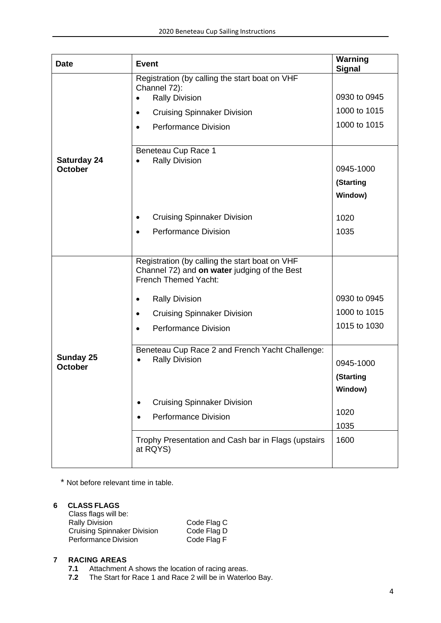| <b>Date</b>                        | <b>Event</b>                                                                                                                                                                                                                                        | Warning<br><b>Signal</b>                                                          |
|------------------------------------|-----------------------------------------------------------------------------------------------------------------------------------------------------------------------------------------------------------------------------------------------------|-----------------------------------------------------------------------------------|
| <b>Saturday 24</b><br>October      | Registration (by calling the start boat on VHF<br>Channel 72):<br><b>Rally Division</b><br><b>Cruising Spinnaker Division</b><br>$\bullet$<br><b>Performance Division</b><br>$\bullet$<br>Beneteau Cup Race 1<br><b>Rally Division</b><br>$\bullet$ | 0930 to 0945<br>1000 to 1015<br>1000 to 1015<br>0945-1000<br>(Starting<br>Window) |
|                                    | <b>Cruising Spinnaker Division</b><br>٠                                                                                                                                                                                                             | 1020                                                                              |
|                                    | <b>Performance Division</b><br>$\bullet$                                                                                                                                                                                                            | 1035                                                                              |
|                                    | Registration (by calling the start boat on VHF<br>Channel 72) and on water judging of the Best<br><b>French Themed Yacht:</b>                                                                                                                       |                                                                                   |
|                                    | <b>Rally Division</b><br>$\bullet$                                                                                                                                                                                                                  | 0930 to 0945                                                                      |
|                                    | <b>Cruising Spinnaker Division</b><br>$\bullet$                                                                                                                                                                                                     | 1000 to 1015                                                                      |
|                                    | <b>Performance Division</b><br>$\bullet$                                                                                                                                                                                                            | 1015 to 1030                                                                      |
| <b>Sunday 25</b><br><b>October</b> | Beneteau Cup Race 2 and French Yacht Challenge:<br><b>Rally Division</b>                                                                                                                                                                            | 0945-1000<br>(Starting<br>Window)                                                 |
|                                    | <b>Cruising Spinnaker Division</b><br><b>Performance Division</b>                                                                                                                                                                                   | 1020<br>1035                                                                      |
|                                    | Trophy Presentation and Cash bar in Flags (upstairs<br>at RQYS)                                                                                                                                                                                     | 1600                                                                              |

\* Not before relevant time in table.

#### **6 CLASS FLAGS**

| Class flags will be:               |             |
|------------------------------------|-------------|
| <b>Rally Division</b>              | Code Flag C |
| <b>Cruising Spinnaker Division</b> | Code Flag D |
| <b>Performance Division</b>        | Code Flag F |

#### **7 RACING AREAS**

- **7.1** Attachment A shows the location of racing areas.
- **7.2** The Start for Race 1 and Race 2 will be in Waterloo Bay.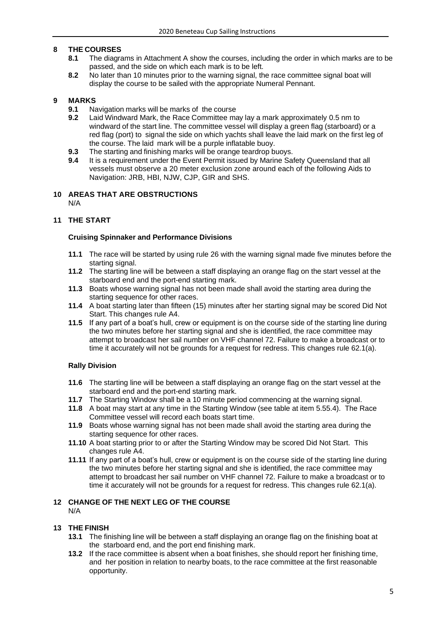#### **8 THE COURSES**

- **8.1** The diagrams in Attachment A show the courses, including the order in which marks are to be passed, and the side on which each mark is to be left.
- **8.2** No later than 10 minutes prior to the warning signal, the race committee signal boat will display the course to be sailed with the appropriate Numeral Pennant.

#### **9 MARKS**

- 
- **9.1** Navigation marks will be marks of the course<br>**9.2** Laid Windward Mark, the Race Committee ma **9.2** Laid Windward Mark, the Race Committee may lay a mark approximately 0.5 nm to windward of the start line. The committee vessel will display a green flag (starboard) or a red flag (port) to signal the side on which yachts shall leave the laid mark on the first leg of the course. The laid mark will be a purple inflatable buoy.
- **9.3** The starting and finishing marks will be orange teardrop buoys.
- **9.4** It is a requirement under the Event Permit issued by Marine Safety Queensland that all vessels must observe a 20 meter exclusion zone around each of the following Aids to Navigation: JRB, HBI, NJW, CJP, GIR and SHS.

#### **10 AREAS THAT ARE OBSTRUCTIONS** N/A

#### **11 THE START**

#### **Cruising Spinnaker and Performance Divisions**

- **11.1** The race will be started by using rule 26 with the warning signal made five minutes before the starting signal.
- **11.2** The starting line will be between a staff displaying an orange flag on the start vessel at the starboard end and the port-end starting mark.
- **11.3** Boats whose warning signal has not been made shall avoid the starting area during the starting sequence for other races.
- **11.4** A boat starting later than fifteen (15) minutes after her starting signal may be scored Did Not Start. This changes rule A4.
- **11.5** If any part of a boat's hull, crew or equipment is on the course side of the starting line during the two minutes before her starting signal and she is identified, the race committee may attempt to broadcast her sail number on VHF channel 72. Failure to make a broadcast or to time it accurately will not be grounds for a request for redress. This changes rule 62.1(a).

#### **Rally Division**

- **11.6** The starting line will be between a staff displaying an orange flag on the start vessel at the starboard end and the port-end starting mark.
- <span id="page-4-0"></span>**11.7** The Starting Window shall be a 10 minute period commencing at the warning signal.
- **11.8** A boat may start at any time in the Starting Window (see table at item 5.[55.4\)](#page-2-0). The Race Committee vessel will record each boats start time.
- **11.9** Boats whose warning signal has not been made shall avoid the starting area during the starting sequence for other races.
- **11.10** A boat starting prior to or after the Starting Window may be scored Did Not Start. This changes rule A4.
- **11.11** If any part of a boat's hull, crew or equipment is on the course side of the starting line during the two minutes before her starting signal and she is identified, the race committee may attempt to broadcast her sail number on VHF channel 72. Failure to make a broadcast or to time it accurately will not be grounds for a request for redress. This changes rule 62.1(a).

#### **12 CHANGE OF THE NEXT LEG OF THE COURSE** N/A

#### **13 THE FINISH**

- **13.1** The finishing line will be between a staff displaying an orange flag on the finishing boat at the starboard end, and the port end finishing mark.
- **13.2** If the race committee is absent when a boat finishes, she should report her finishing time, and her position in relation to nearby boats, to the race committee at the first reasonable opportunity.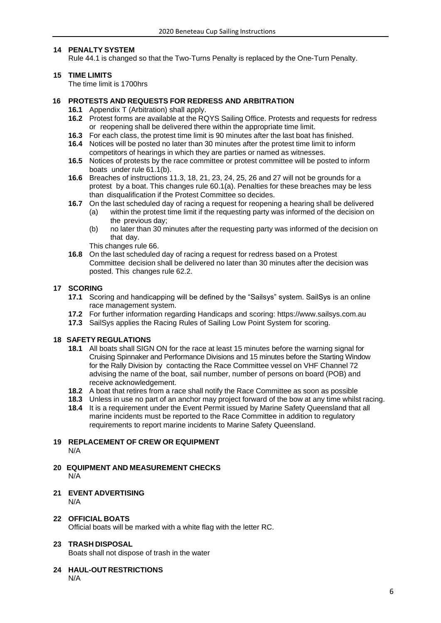#### **14 PENALTY SYSTEM**

Rule 44.1 is changed so that the Two-Turns Penalty is replaced by the One-Turn Penalty.

#### **15 TIME LIMITS**

The time limit is 1700hrs

#### **16 PROTESTS AND REQUESTS FOR REDRESS AND ARBITRATION**

- **16.1** Appendix T (Arbitration) shall apply.
- **16.2** Protest forms are available at the RQYS Sailing Office. Protests and requests for redress or reopening shall be delivered there within the appropriate time limit.
- **16.3** For each class, the protest time limit is 90 minutes after the last boat has finished.
- **16.4** Notices will be posted no later than 30 minutes after the protest time limit to inform competitors of hearings in which they are parties or named as witnesses.
- **16.5** Notices of protests by the race committee or protest committee will be posted to inform boats under rule 61.1(b).
- **16.6** Breaches of instructions 11.3, 18, 21, 23, 24, 25, 26 and 27 will not be grounds for a protest by a boat. This changes rule 60.1(a). Penalties for these breaches may be less than disqualification if the Protest Committee so decides.
- **16.7** On the last scheduled day of racing a request for reopening a hearing shall be delivered (a) within the protest time limit if the requesting party was informed of the decision on the previous day;
	- (b) no later than 30 minutes after the requesting party was informed of the decision on that day.

This changes rule 66.

**16.8** On the last scheduled day of racing a request for redress based on a Protest Committee decision shall be delivered no later than 30 minutes after the decision was posted. This changes rule 62.2.

#### **17 SCORING**

- **17.1** Scoring and handicapping will be defined by the "Sailsys" system. SailSys is an online race management system.
- **17.2** For further information regarding Handicaps and scoring: [https://www.sailsys.com.au](https://nam10.safelinks.protection.outlook.com/?url=https%3A%2F%2Fwww.sailsys.com.au%2F&data=04%7C01%7C%7Cc97ff4fa90dc4c69c89008d8701068cd%7C84df9e7fe9f640afb435aaaaaaaaaaaa%7C1%7C0%7C637382563074783638%7CUnknown%7CTWFpbGZsb3d8eyJWIjoiMC4wLjAwMDAiLCJQIjoiV2luMzIiLCJBTiI6Ik1haWwiLCJXVCI6Mn0%3D%7C1000&sdata=7sDHgG70Nagm8kts2pC1zd2zgkdX5qq4o4jn71y91Rg%3D&reserved=0)
- **17.3** SailSys applies the Racing Rules of Sailing Low Point System for scoring.

#### **18 SAFETY REGULATIONS**

- **18.1** All boats shall SIGN ON for the race at least 15 minutes before the warning signal for Cruising Spinnaker and Performance Divisions and 15 minutes before the Starting Window for the Rally Division by contacting the Race Committee vessel on VHF Channel 72 advising the name of the boat, sail number, number of persons on board (POB) and receive acknowledgement.
- **18.2** A boat that retires from a race shall notify the Race Committee as soon as possible
- **18.3** Unless in use no part of an anchor may project forward of the bow at any time whilst racing.
- 18.4 It is a requirement under the Event Permit issued by Marine Safety Queensland that all marine incidents must be reported to the Race Committee in addition to regulatory requirements to report marine incidents to Marine Safety Queensland.

#### **19 REPLACEMENT OF CREW OR EQUIPMENT**

- N/A
- **20 EQUIPMENT AND MEASUREMENT CHECKS** N/A

#### **21 EVENT ADVERTISING** N/A

#### **22 OFFICIAL BOATS**

Official boats will be marked with a white flag with the letter RC.

#### **23 TRASH DISPOSAL**

Boats shall not dispose of trash in the water

#### **24 HAUL-OUT RESTRICTIONS**

N/A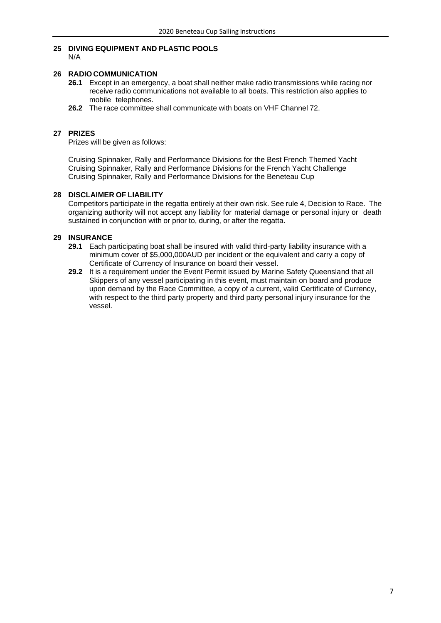#### **25 DIVING EQUIPMENT AND PLASTIC POOLS**

N/A

#### **26 RADIO COMMUNICATION**

- **26.1** Except in an emergency, a boat shall neither make radio transmissions while racing nor receive radio communications not available to all boats. This restriction also applies to mobile telephones.
- **26.2** The race committee shall communicate with boats on VHF Channel 72.

#### **27 PRIZES**

Prizes will be given as follows:

Cruising Spinnaker, Rally and Performance Divisions for the Best French Themed Yacht Cruising Spinnaker, Rally and Performance Divisions for the French Yacht Challenge Cruising Spinnaker, Rally and Performance Divisions for the Beneteau Cup

#### **28 DISCLAIMER OF LIABILITY**

Competitors participate in the regatta entirely at their own risk. See rule 4, Decision to Race. The organizing authority will not accept any liability for material damage or personal injury or death sustained in conjunction with or prior to, during, or after the regatta.

#### **29 INSURANCE**

- **29.1** Each participating boat shall be insured with valid third-party liability insurance with a minimum cover of \$5,000,000AUD per incident or the equivalent and carry a copy of Certificate of Currency of Insurance on board their vessel.
- **29.2** It is a requirement under the Event Permit issued by Marine Safety Queensland that all Skippers of any vessel participating in this event, must maintain on board and produce upon demand by the Race Committee, a copy of a current, valid Certificate of Currency, with respect to the third party property and third party personal injury insurance for the vessel.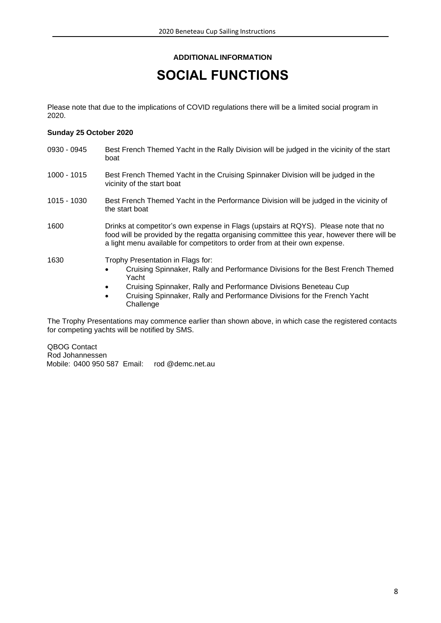#### **ADDITIONALINFORMATION**

### **SOCIAL FUNCTIONS**

Please note that due to the implications of COVID regulations there will be a limited social program in 2020.

#### **Sunday 25 October 2020**

| 0930 - 0945 | Best French Themed Yacht in the Rally Division will be judged in the vicinity of the start<br>boat                                                                                                                                                                                                                               |
|-------------|----------------------------------------------------------------------------------------------------------------------------------------------------------------------------------------------------------------------------------------------------------------------------------------------------------------------------------|
| 1000 - 1015 | Best French Themed Yacht in the Cruising Spinnaker Division will be judged in the<br>vicinity of the start boat                                                                                                                                                                                                                  |
| 1015 - 1030 | Best French Themed Yacht in the Performance Division will be judged in the vicinity of<br>the start boat                                                                                                                                                                                                                         |
| 1600        | Drinks at competitor's own expense in Flags (upstairs at RQYS). Please note that no<br>food will be provided by the regatta organising committee this year, however there will be<br>a light menu available for competitors to order from at their own expense.                                                                  |
| 1630        | Trophy Presentation in Flags for:<br>Cruising Spinnaker, Rally and Performance Divisions for the Best French Themed<br>$\bullet$<br>Yacht<br>Cruising Spinnaker, Rally and Performance Divisions Beneteau Cup<br>$\bullet$<br>Cruising Spinnaker, Rally and Performance Divisions for the French Yacht<br>$\bullet$<br>Challenge |

The Trophy Presentations may commence earlier than shown above, in which case the registered contacts for competing yachts will be notified by SMS.

QBOG Contact Rod Johannessen Mobile: 0400 950 587 Email: rod @demc.net.au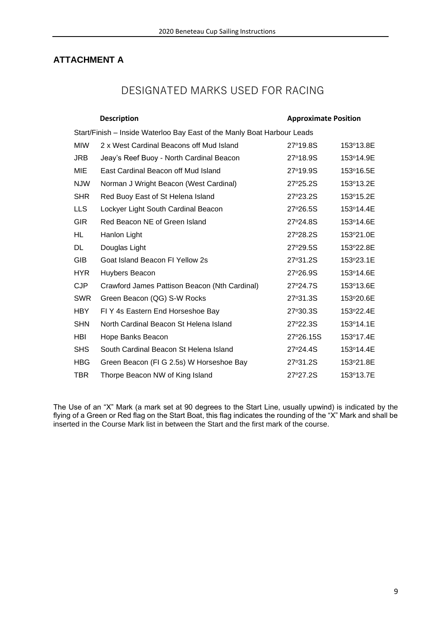#### **ATTACHMENT A**

### DESIGNATED MARKS USED FOR RACING

|                                                                         | <b>Description</b>                            | <b>Approximate Position</b> |           |  |
|-------------------------------------------------------------------------|-----------------------------------------------|-----------------------------|-----------|--|
| Start/Finish - Inside Waterloo Bay East of the Manly Boat Harbour Leads |                                               |                             |           |  |
| <b>MIW</b>                                                              | 2 x West Cardinal Beacons off Mud Island      | 27°19.8S                    | 153°13.8E |  |
| <b>JRB</b>                                                              | Jeay's Reef Buoy - North Cardinal Beacon      | 27°18.9S                    | 153°14.9E |  |
| MIE                                                                     | East Cardinal Beacon off Mud Island           | 27°19.9S                    | 153°16.5E |  |
| <b>NJW</b>                                                              | Norman J Wright Beacon (West Cardinal)        | 27°25.2S                    | 153°13.2E |  |
| <b>SHR</b>                                                              | Red Buoy East of St Helena Island             | 27°23.2S                    | 153°15.2E |  |
| <b>LLS</b>                                                              | Lockyer Light South Cardinal Beacon           | 27°26.5S                    | 153°14.4E |  |
| <b>GIR</b>                                                              | Red Beacon NE of Green Island                 | 27°24.8S                    | 153°14.6E |  |
| HL                                                                      | Hanlon Light                                  | 27°28.2S                    | 153°21.0E |  |
| DL                                                                      | Douglas Light                                 | 27°29.5S                    | 153°22.8E |  |
| <b>GIB</b>                                                              | Goat Island Beacon FI Yellow 2s               | 27°31.2S                    | 153°23.1E |  |
| <b>HYR</b>                                                              | Huybers Beacon                                | 27°26.9S                    | 153°14.6E |  |
| <b>CJP</b>                                                              | Crawford James Pattison Beacon (Nth Cardinal) | 27°24.7S                    | 153°13.6E |  |
| <b>SWR</b>                                                              | Green Beacon (QG) S-W Rocks                   | 27°31.3S                    | 153°20.6E |  |
| <b>HBY</b>                                                              | FIY 4s Eastern End Horseshoe Bay              | 27°30.3S                    | 153°22.4E |  |
| <b>SHN</b>                                                              | North Cardinal Beacon St Helena Island        | 27°22.3S                    | 153°14.1E |  |
| HBI                                                                     | Hope Banks Beacon                             | 27°26.15S                   | 153°17.4E |  |
| <b>SHS</b>                                                              | South Cardinal Beacon St Helena Island        | 27°24.4S                    | 153°14.4E |  |
| <b>HBG</b>                                                              | Green Beacon (FI G 2.5s) W Horseshoe Bay      | 27°31.2S                    | 153°21.8E |  |
| <b>TBR</b>                                                              | Thorpe Beacon NW of King Island               | 27°27.2S                    | 153°13.7E |  |

The Use of an "X" Mark (a mark set at 90 degrees to the Start Line, usually upwind) is indicated by the flying of a Green or Red flag on the Start Boat, this flag indicates the rounding of the "X" Mark and shall be inserted in the Course Mark list in between the Start and the first mark of the course.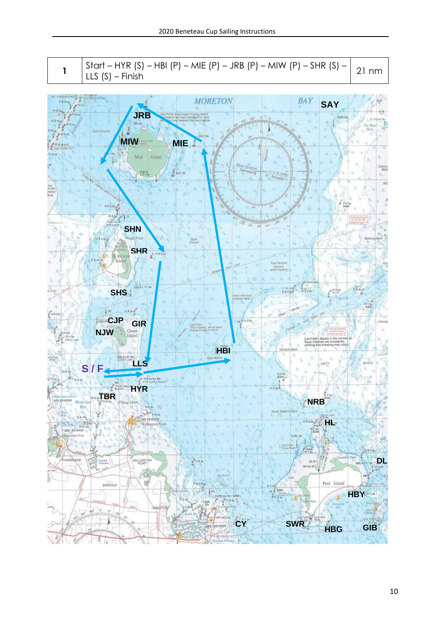**1** Start – HYR (S) – HBI (P) – MIE (P) – JRB (P) – MIW (P) – SHR (S) – LLS (S) – Finish 21 nm

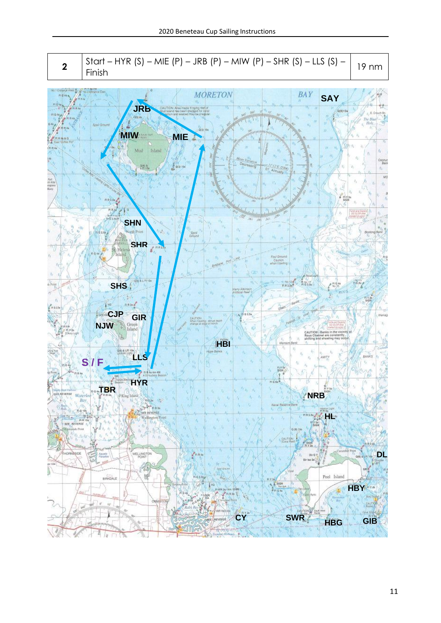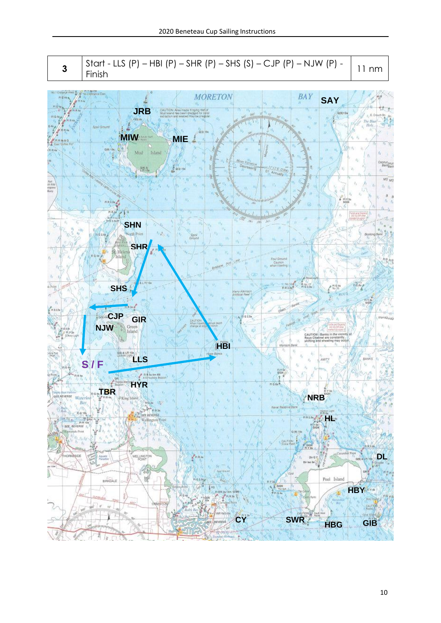**3** 
$$
\begin{bmatrix} Start - LLS (P) - HBI (P) - SHR (P) - SHS (S) - CJP (P) - NJW (P) - 11 nm \\ Finish \end{bmatrix}
$$

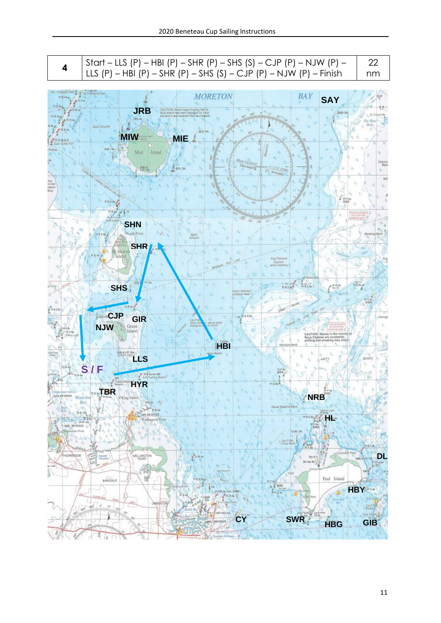| 4                         | Start – LLS (P) – HBI (P) – SHR (P) – SHS (S) – CJP (P) – NJW (P) –<br>LLS $(P)$ – HBI $(P)$ – SHR $(P)$ – SHS $(S)$ – CJP $(P)$ – NJW $(P)$ – Finish | 22<br>nm      |
|---------------------------|-------------------------------------------------------------------------------------------------------------------------------------------------------|---------------|
|                           |                                                                                                                                                       |               |
|                           | <b>Islánce East</b><br><b>BAY</b><br><b>MORETON</b><br><b>SAY</b>                                                                                     |               |
|                           | <b>JRB</b><br>CALITION: Also inside fringing reafor<br>Mud talend has been dredged for coral<br>010915                                                |               |
|                           | and engined may be integlied<br><b><i><u><i><u><b>AMALITERIAL ARRAIGNORS</b></u></i></u></i></b>                                                      |               |
|                           | Spoil Ground<br>050.166                                                                                                                               |               |
|                           | <b>MIW</b><br>MIE                                                                                                                                     |               |
|                           | Q(6) 15s.                                                                                                                                             |               |
|                           | Mud<br>Island                                                                                                                                         |               |
|                           | <b>Eas</b> Variation<br>Decreeav g<br>283.5<br>0.000100<br><b>ROW</b>                                                                                 | Copnut<br>Ben |
|                           | Of:<br>Annually                                                                                                                                       |               |
|                           |                                                                                                                                                       |               |
|                           |                                                                                                                                                       |               |
|                           | sigi<br>日日生命                                                                                                                                          |               |
|                           | <b>MONTANOMIA UNITED ATT</b>                                                                                                                          |               |
|                           | <b>Digit</b><br><b>SHN</b>                                                                                                                            |               |
|                           | onh'Point                                                                                                                                             | Booking flan  |
|                           | insure                                                                                                                                                |               |
|                           | <b>SHR</b><br>Sti Helenà                                                                                                                              |               |
|                           | 'Island<br>Foul Ground<br>Caution<br>when trawling                                                                                                    |               |
|                           | Briston                                                                                                                                               |               |
|                           |                                                                                                                                                       |               |
| Point                     | 타 Na 17<br>타 G 2.5s -<br><b>SHS</b><br>FI 0.4%<br><b>FIR2</b><br>arry African                                                                         |               |
|                           | <b>Articles Peed</b>                                                                                                                                  |               |
|                           | Barkh                                                                                                                                                 |               |
|                           | CJP GIR<br>G 2.5a                                                                                                                                     |               |
| 0.2.51                    | <b>Abrupt death</b><br>Vhion tra<br><b>NJW</b><br>Green<br>Island                                                                                     |               |
| PLY 26<br>D'Arcy Light    | CAUTION   Banks in the vicinity<br>Rous Channel are constantly<br>shifting and shooting may oc-                                                       |               |
|                           | Maroon<br><b>HB</b>                                                                                                                                   |               |
|                           | <b>Jone Bank</b><br>LLS                                                                                                                               | RANKS         |
|                           | S                                                                                                                                                     |               |
|                           | али<br>la Am 4M<br>Lybop Baacon                                                                                                                       |               |
|                           | HYR                                                                                                                                                   |               |
| <b><i>REE REVERSE</i></b> | 894. BR<br><b>NRB</b><br>Waterloo                                                                                                                     |               |
|                           |                                                                                                                                                       |               |

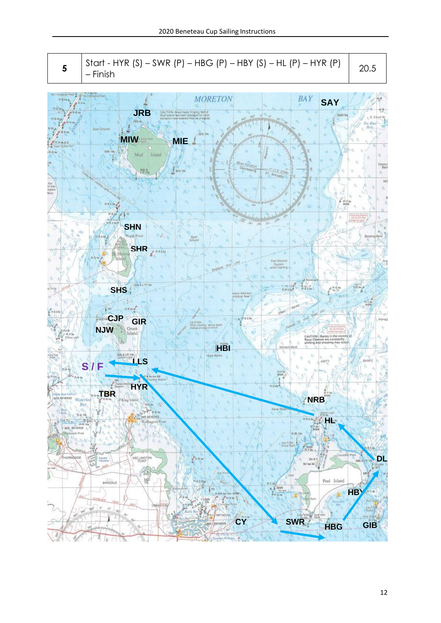